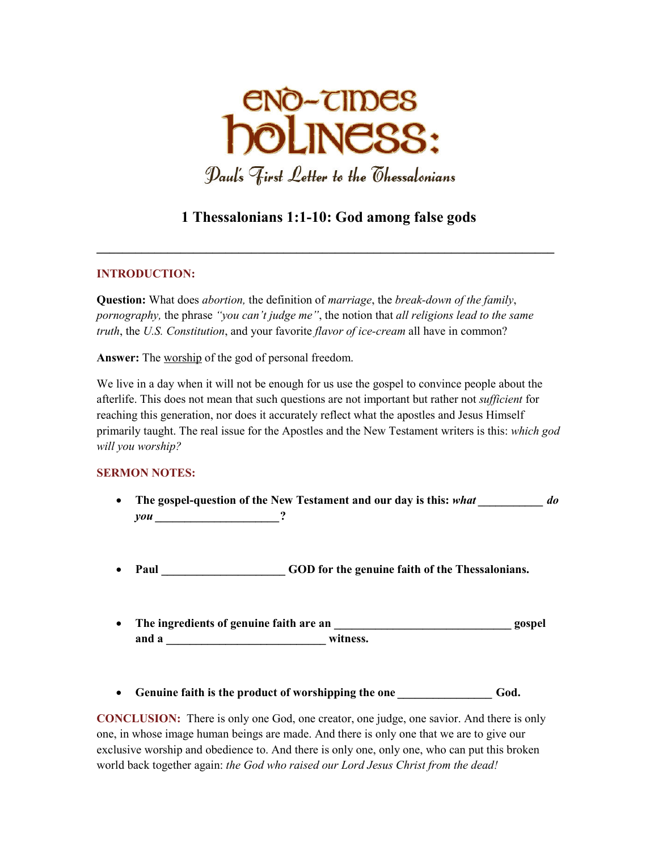

# **1 Thessalonians 1:1-10: God among false gods**

**\_\_\_\_\_\_\_\_\_\_\_\_\_\_\_\_\_\_\_\_\_\_\_\_\_\_\_\_\_\_\_\_\_\_\_\_\_\_\_\_\_\_\_\_\_\_\_\_\_\_\_\_\_\_\_\_\_\_\_\_\_\_\_\_\_\_\_\_\_\_\_** 

#### **INTRODUCTION:**

**Question:** What does *abortion,* the definition of *marriage*, the *break-down of the family*, *pornography,* the phrase *"you can't judge me"*, the notion that *all religions lead to the same truth*, the *U.S. Constitution*, and your favorite *flavor of ice-cream* all have in common?

**Answer:** The worship of the god of personal freedom.

We live in a day when it will not be enough for us use the gospel to convince people about the afterlife. This does not mean that such questions are not important but rather not *sufficient* for reaching this generation, nor does it accurately reflect what the apostles and Jesus Himself primarily taught. The real issue for the Apostles and the New Testament writers is this: *which god will you worship?*

## **SERMON NOTES:**

- The gospel-question of the New Testament and our day is this: *what do do you \_\_\_\_\_\_\_\_\_\_\_\_\_\_\_\_\_\_\_\_\_***?**  Paul GOD for the genuine faith of the Thessalonians.
- **The ingredients of genuine faith are an \_\_\_\_\_\_\_\_\_\_\_\_\_\_\_\_\_\_\_\_\_\_\_\_\_\_\_\_\_\_ gospel and a \_\_\_\_\_\_\_\_\_\_\_\_\_\_\_\_\_\_\_\_\_\_\_\_\_\_\_ witness.**
- Genuine faith is the product of worshipping the one **God.** God.

**CONCLUSION:** There is only one God, one creator, one judge, one savior. And there is only one, in whose image human beings are made. And there is only one that we are to give our exclusive worship and obedience to. And there is only one, only one, who can put this broken world back together again: *the God who raised our Lord Jesus Christ from the dead!*